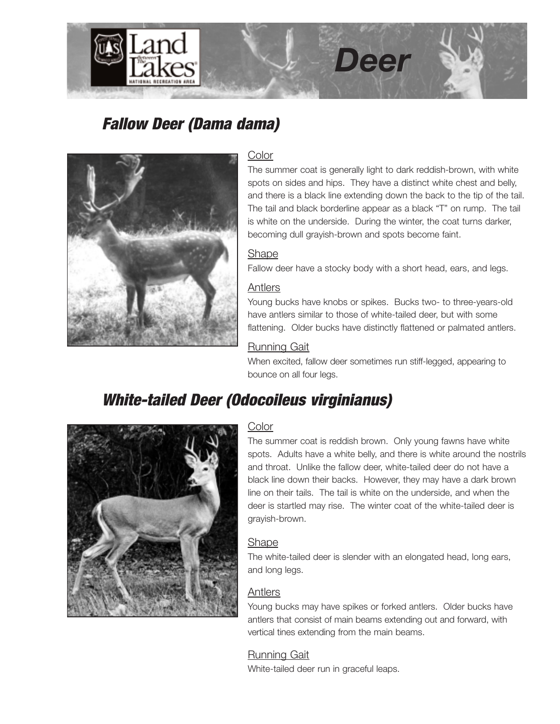

## Fallow Deer (Dama dama)



## **Color**

The summer coat is generally light to dark reddish-brown, with white spots on sides and hips. They have a distinct white chest and belly, and there is a black line extending down the back to the tip of the tail. The tail and black borderline appear as a black "T" on rump. The tail is white on the underside. During the winter, the coat turns darker, becoming dull grayish-brown and spots become faint.

## **Shape**

Fallow deer have a stocky body with a short head, ears, and legs.

#### Antlers

Young bucks have knobs or spikes. Bucks two- to three-years-old have antlers similar to those of white-tailed deer, but with some flattening. Older bucks have distinctly flattened or palmated antlers.

## Running Gait

When excited, fallow deer sometimes run stiff-legged, appearing to bounce on all four legs.

# White-tailed Deer (Odocoileus virginianus)



## **Color**

The summer coat is reddish brown. Only young fawns have white spots. Adults have a white belly, and there is white around the nostrils and throat. Unlike the fallow deer, white-tailed deer do not have a black line down their backs. However, they may have a dark brown line on their tails. The tail is white on the underside, and when the deer is startled may rise. The winter coat of the white-tailed deer is grayish-brown.

#### Shape

The white-tailed deer is slender with an elongated head, long ears, and long legs.

## Antlers

Young bucks may have spikes or forked antlers. Older bucks have antlers that consist of main beams extending out and forward, with vertical tines extending from the main beams.

## Running Gait

White-tailed deer run in graceful leaps.